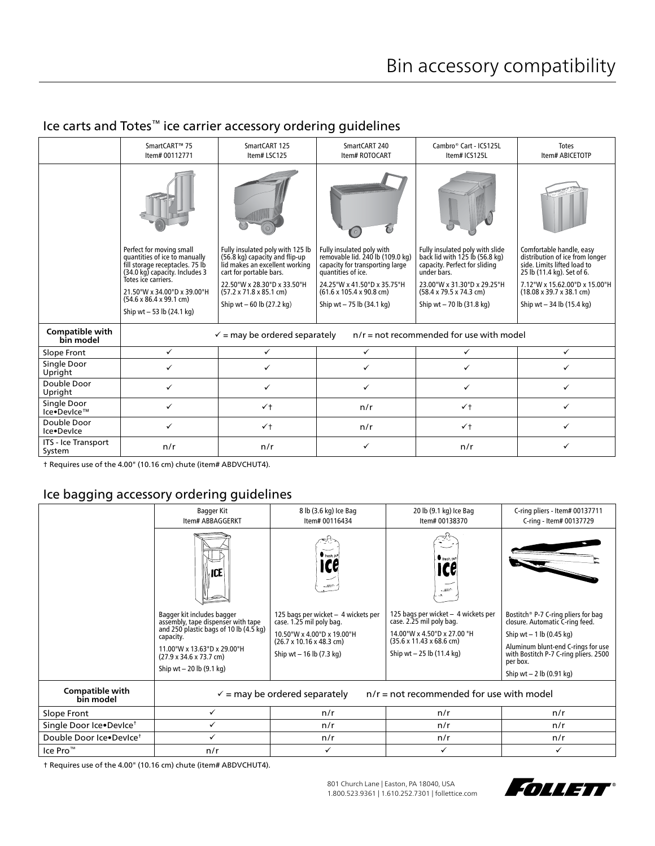#### SmartCART™ 75 SmartCART 125 SmartCART 240 Cambro® Cart - ICS125L Totes Item# 00112771 Item# LSC125 Item# ROTOCART Item# ABICETOTP Item# ICS125L  $\sqrt{2}$ Fully insulated poly with 125 lb Perfect for moving small Comfortable handle, easy Fully insulated poly with removable lid. 240 lb (109.0 kg) Fully insulated poly with slide back lid with 125 lb (56.8 kg) distribution of ice from longer quantities of ice to manually fill storage receptacles. 75 lb (56.8 kg) capacity and flip-up<br>lid makes an excellent working capacity for transporting large capacity. Perfect for sliding side. Limits lifted load to 25 lb (11.4 kg). Set of 6. (34.0 kg) capacity. Includes 3 cart for portable bars. quantities of ice. under bars. Totes ice carriers. 22.50"W x 28.30"D x 33.50"H 24.25"W x 41.50"D x 35.75"H 23.00"W x 31.30"D x 29.25"H 7.12"W x 15.62.00"D x 15.00"H (57.2 x 71.8 x 85.1 cm) (61.6 x 105.4 x 90.8 cm) (58.4 x 79.5 x 74.3 cm) (18.08 x 39.7 x 38.1 cm) 21.50"W x 34.00"D x 39.00"H (54.6 x 86.4 x 99.1 cm) Ship wt – 60 lb (27.2 kg) Ship wt – 75 lb (34.1 kg) Ship wt – 70 lb (31.8 kg) Ship wt – 34 lb (15.4 kg) Ship wt – 53 lb (24.1 kg) **Compatible with**   $\checkmark$  = may be ordered separately  $n/r$  = not recommended for use with model Slope Front │ ✓ │ ✓ │ ✓ │ ✓ │ ✓ Single Door<br>Upright Upright Double Door Upright Single Door<br>Ice•DevIce™ Ice•DevIce™ † n/r † Double Door<br>Ice•Device Ice•DevIce † n/r † ITS - Ice Transport<br>System System n/r n/r n/r

## Ice carts and Totes™ ice carrier accessory ordering guidelines

† Requires use of the 4.00" (10.16 cm) chute (item# ABDVCHUT4).

## Ice bagging accessory ordering guidelines

|                                     | Bagger Kit<br>Item# ABBAGGERKT                                                                                                                                                                                                               | 8 lb (3.6 kg) Ice Bag<br>Item# 00116434                                                                                                                                    | 20 lb (9.1 kg) Ice Bag<br>Item# 00138370                                                                                                                                     | C-ring pliers - Item# 00137711<br>C-ring - Item# 00137729                                                                                                                                                                    |  |  |  |
|-------------------------------------|----------------------------------------------------------------------------------------------------------------------------------------------------------------------------------------------------------------------------------------------|----------------------------------------------------------------------------------------------------------------------------------------------------------------------------|------------------------------------------------------------------------------------------------------------------------------------------------------------------------------|------------------------------------------------------------------------------------------------------------------------------------------------------------------------------------------------------------------------------|--|--|--|
|                                     | ∖∣CE                                                                                                                                                                                                                                         | fresh put                                                                                                                                                                  | $r_{\text{resh}}$ pu<br>ICG<br>$-27.5$<br>'nД.                                                                                                                               |                                                                                                                                                                                                                              |  |  |  |
|                                     | Bagger kit includes bagger<br>assembly, tape dispenser with tape<br>and 250 plastic bags of 10 lb (4.5 kg)<br>capacity.<br>11.00"W x 13.63"D x 29.00"H<br>$(27.9 \times 34.6 \times 73.7 \text{ cm})$<br>Ship wt $-20$ lb $(9.1 \text{ kg})$ | 125 bags per wicket - 4 wickets per<br>case. 1.25 mil poly bag.<br>10.50"W x 4.00"D x 19.00"H<br>$(26.7 \times 10.16 \times 48.3 \text{ cm})$<br>Ship wt $-16$ lb (7.3 kg) | 125 bags per wicket - 4 wickets per<br>case. 2.25 mil poly bag.<br>14.00"W x 4.50"D x 27.00 "H<br>$(35.6 \times 11.43 \times 68.6 \text{ cm})$<br>Ship wt $-25$ lb (11.4 kg) | Bostitch® P-7 C-ring pliers for bag<br>closure. Automatic C-ring feed.<br>Ship wt $-1$ lb (0.45 kg)<br>Aluminum blunt-end C-rings for use<br>with Bostitch P-7 C-ring pliers. 2500<br>per box.<br>Ship wt $- 2$ lb (0.91 kg) |  |  |  |
| <b>Compatible with</b><br>bin model | $n/r$ = not recommended for use with model<br>$\checkmark$ = may be ordered separately                                                                                                                                                       |                                                                                                                                                                            |                                                                                                                                                                              |                                                                                                                                                                                                                              |  |  |  |
| Slope Front                         | $\checkmark$                                                                                                                                                                                                                                 | n/r                                                                                                                                                                        | n/r                                                                                                                                                                          | n/r                                                                                                                                                                                                                          |  |  |  |
| Single Door Ice.Device <sup>†</sup> | ✓                                                                                                                                                                                                                                            | n/r                                                                                                                                                                        | n/r                                                                                                                                                                          | n/r                                                                                                                                                                                                                          |  |  |  |
| Double Door Ice.Device <sup>+</sup> | ✓                                                                                                                                                                                                                                            | n/r                                                                                                                                                                        | n/r                                                                                                                                                                          | n/r                                                                                                                                                                                                                          |  |  |  |
| Ice Pro™                            | n/r                                                                                                                                                                                                                                          | ✓                                                                                                                                                                          | ✓                                                                                                                                                                            |                                                                                                                                                                                                                              |  |  |  |

† Requires use of the 4.00" (10.16 cm) chute (item# ABDVCHUT4).

801 Church Lane | Easton, PA 18040, USA 1.800.523.9361 | 1.610.252.7301 | follettice.com